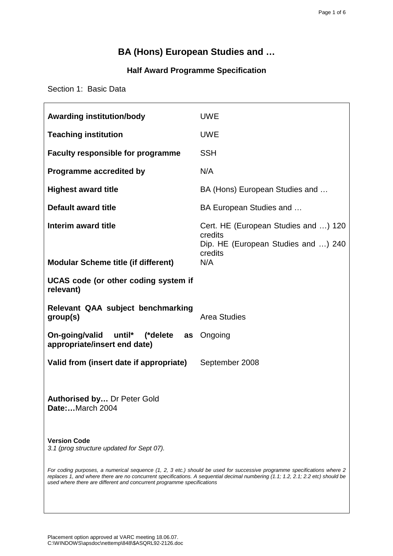# **BA (Hons) European Studies and …**

# **Half Award Programme Specification**

Section 1: Basic Data

| <b>Awarding institution/body</b>                                                                                                                                                                                                                                                                                                     | <b>UWE</b>                                                                                        |  |  |
|--------------------------------------------------------------------------------------------------------------------------------------------------------------------------------------------------------------------------------------------------------------------------------------------------------------------------------------|---------------------------------------------------------------------------------------------------|--|--|
| <b>Teaching institution</b>                                                                                                                                                                                                                                                                                                          | <b>UWE</b>                                                                                        |  |  |
| <b>Faculty responsible for programme</b>                                                                                                                                                                                                                                                                                             | <b>SSH</b>                                                                                        |  |  |
| Programme accredited by                                                                                                                                                                                                                                                                                                              | N/A                                                                                               |  |  |
| <b>Highest award title</b>                                                                                                                                                                                                                                                                                                           | BA (Hons) European Studies and                                                                    |  |  |
| <b>Default award title</b>                                                                                                                                                                                                                                                                                                           | BA European Studies and                                                                           |  |  |
| Interim award title                                                                                                                                                                                                                                                                                                                  | Cert. HE (European Studies and ) 120<br>credits<br>Dip. HE (European Studies and ) 240<br>credits |  |  |
| <b>Modular Scheme title (if different)</b>                                                                                                                                                                                                                                                                                           | N/A                                                                                               |  |  |
| UCAS code (or other coding system if<br>relevant)                                                                                                                                                                                                                                                                                    |                                                                                                   |  |  |
| Relevant QAA subject benchmarking<br>group(s)                                                                                                                                                                                                                                                                                        | <b>Area Studies</b>                                                                               |  |  |
| On-going/valid<br>until*<br>(*delete as<br>appropriate/insert end date)                                                                                                                                                                                                                                                              | Ongoing                                                                                           |  |  |
| Valid from (insert date if appropriate)                                                                                                                                                                                                                                                                                              | September 2008                                                                                    |  |  |
| Authorised by Dr Peter Gold<br>Date:March 2004                                                                                                                                                                                                                                                                                       |                                                                                                   |  |  |
| <b>Version Code</b><br>3.1 (prog structure updated for Sept 07).                                                                                                                                                                                                                                                                     |                                                                                                   |  |  |
| For coding purposes, a numerical sequence (1, 2, 3 etc.) should be used for successive programme specifications where 2<br>replaces 1, and where there are no concurrent specifications. A sequential decimal numbering (1.1; 1.2, 2.1; 2.2 etc) should be<br>used where there are different and concurrent programme specifications |                                                                                                   |  |  |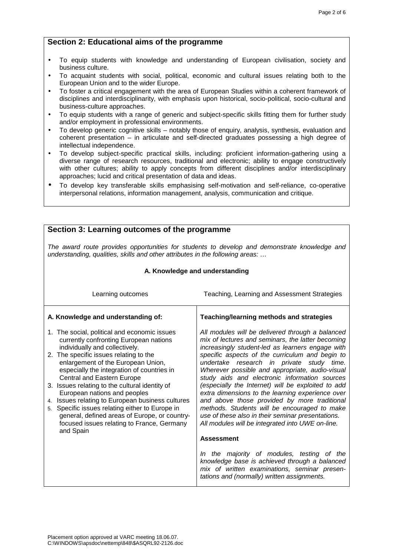## **Section 2: Educational aims of the programme**

- To equip students with knowledge and understanding of European civilisation, society and business culture.
- To acquaint students with social, political, economic and cultural issues relating both to the European Union and to the wider Europe.
- To foster a critical engagement with the area of European Studies within a coherent framework of disciplines and interdisciplinarity, with emphasis upon historical, socio-political, socio-cultural and business-culture approaches.
- To equip students with a range of generic and subject-specific skills fitting them for further study and/or employment in professional environments.
- To develop generic cognitive skills notably those of enquiry, analysis, synthesis, evaluation and coherent presentation – in articulate and self-directed graduates possessing a high degree of intellectual independence.
- To develop subject-specific practical skills, including: proficient information-gathering using a diverse range of research resources, traditional and electronic; ability to engage constructively with other cultures; ability to apply concepts from different disciplines and/or interdisciplinary approaches; lucid and critical presentation of data and ideas.
- To develop key transferable skills emphasising self-motivation and self-reliance, co-operative interpersonal relations, information management, analysis, communication and critique.

## **Section 3: Learning outcomes of the programme**

The award route provides opportunities for students to develop and demonstrate knowledge and understanding, qualities, skills and other attributes in the following areas: ...

| A. Knowledge and understanding                                                                                                                                                                                                                                                                                                                                                                                                                                                                                                                                               |                                                                                                                                                                                                                                                                                                                                                                                                                                                                                                                                                                                                                                                                                  |  |
|------------------------------------------------------------------------------------------------------------------------------------------------------------------------------------------------------------------------------------------------------------------------------------------------------------------------------------------------------------------------------------------------------------------------------------------------------------------------------------------------------------------------------------------------------------------------------|----------------------------------------------------------------------------------------------------------------------------------------------------------------------------------------------------------------------------------------------------------------------------------------------------------------------------------------------------------------------------------------------------------------------------------------------------------------------------------------------------------------------------------------------------------------------------------------------------------------------------------------------------------------------------------|--|
| Learning outcomes                                                                                                                                                                                                                                                                                                                                                                                                                                                                                                                                                            | Teaching, Learning and Assessment Strategies                                                                                                                                                                                                                                                                                                                                                                                                                                                                                                                                                                                                                                     |  |
| A. Knowledge and understanding of:                                                                                                                                                                                                                                                                                                                                                                                                                                                                                                                                           | Teaching/learning methods and strategies                                                                                                                                                                                                                                                                                                                                                                                                                                                                                                                                                                                                                                         |  |
| 1. The social, political and economic issues<br>currently confronting European nations<br>individually and collectively.<br>2. The specific issues relating to the<br>enlargement of the European Union,<br>especially the integration of countries in<br>Central and Eastern Europe<br>3. Issues relating to the cultural identity of<br>European nations and peoples<br>4. Issues relating to European business cultures<br>5. Specific issues relating either to Europe in<br>general, defined areas of Europe, or country-<br>focused issues relating to France, Germany | All modules will be delivered through a balanced<br>mix of lectures and seminars, the latter becoming<br>increasingly student-led as learners engage with<br>specific aspects of the curriculum and begin to<br>undertake research in private study time.<br>Wherever possible and appropriate, audio-visual<br>study aids and electronic information sources<br>(especially the Internet) will be exploited to add<br>extra dimensions to the learning experience over<br>and above those provided by more traditional<br>methods. Students will be encouraged to make<br>use of these also in their seminar presentations.<br>All modules will be integrated into UWE on-line. |  |
| and Spain                                                                                                                                                                                                                                                                                                                                                                                                                                                                                                                                                                    | <b>Assessment</b>                                                                                                                                                                                                                                                                                                                                                                                                                                                                                                                                                                                                                                                                |  |
|                                                                                                                                                                                                                                                                                                                                                                                                                                                                                                                                                                              | In the majority of modules, testing of the<br>knowledge base is achieved through a balanced<br>mix of written examinations, seminar presen-<br>tations and (normally) written assignments.                                                                                                                                                                                                                                                                                                                                                                                                                                                                                       |  |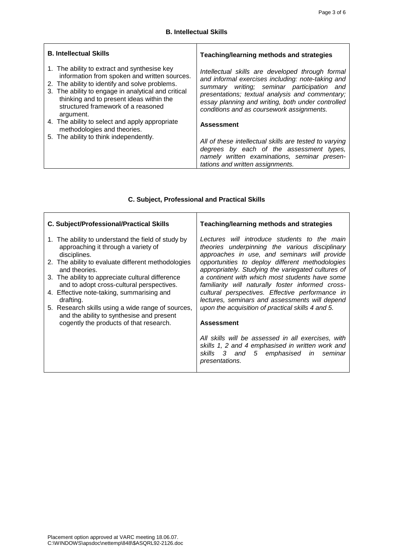| <b>B. Intellectual Skills</b>                                                                                                                                                                                                                                                                        | Teaching/learning methods and strategies                                                                                                                                                                                                                                                                 |  |
|------------------------------------------------------------------------------------------------------------------------------------------------------------------------------------------------------------------------------------------------------------------------------------------------------|----------------------------------------------------------------------------------------------------------------------------------------------------------------------------------------------------------------------------------------------------------------------------------------------------------|--|
| 1. The ability to extract and synthesise key<br>information from spoken and written sources.<br>2. The ability to identify and solve problems.<br>3. The ability to engage in analytical and critical<br>thinking and to present ideas within the<br>structured framework of a reasoned<br>argument. | Intellectual skills are developed through formal<br>and informal exercises including: note-taking and<br>summary writing; seminar participation and<br>presentations; textual analysis and commentary;<br>essay planning and writing, both under controlled<br>conditions and as coursework assignments. |  |
| 4. The ability to select and apply appropriate<br>methodologies and theories.                                                                                                                                                                                                                        | <b>Assessment</b>                                                                                                                                                                                                                                                                                        |  |
| 5. The ability to think independently.                                                                                                                                                                                                                                                               | All of these intellectual skills are tested to varying<br>degrees by each of the assessment types,<br>namely written examinations, seminar presen-<br>tations and written assignments.                                                                                                                   |  |

# **C. Subject, Professional and Practical Skills**

| C. Subject/Professional/Practical Skills                                                                                                                        | Teaching/learning methods and strategies                                                                                                                                                          |  |
|-----------------------------------------------------------------------------------------------------------------------------------------------------------------|---------------------------------------------------------------------------------------------------------------------------------------------------------------------------------------------------|--|
| 1. The ability to understand the field of study by<br>approaching it through a variety of<br>disciplines.<br>2. The ability to evaluate different methodologies | Lectures will introduce students to the main<br>theories underpinning the various disciplinary<br>approaches in use, and seminars will provide<br>opportunities to deploy different methodologies |  |
| and theories.<br>3. The ability to appreciate cultural difference<br>and to adopt cross-cultural perspectives.                                                  | appropriately. Studying the variegated cultures of<br>a continent with which most students have some<br>familiarity will naturally foster informed cross-                                         |  |
| 4. Effective note-taking, summarising and<br>drafting.                                                                                                          | cultural perspectives. Effective performance in<br>lectures, seminars and assessments will depend                                                                                                 |  |
| 5. Research skills using a wide range of sources,<br>and the ability to synthesise and present                                                                  | upon the acquisition of practical skills 4 and 5.                                                                                                                                                 |  |
| cogently the products of that research.                                                                                                                         | <b>Assessment</b>                                                                                                                                                                                 |  |
|                                                                                                                                                                 | All skills will be assessed in all exercises, with<br>skills 1, 2 and 4 emphasised in written work and<br>skills 3 and 5 emphasised in seminar<br>presentations.                                  |  |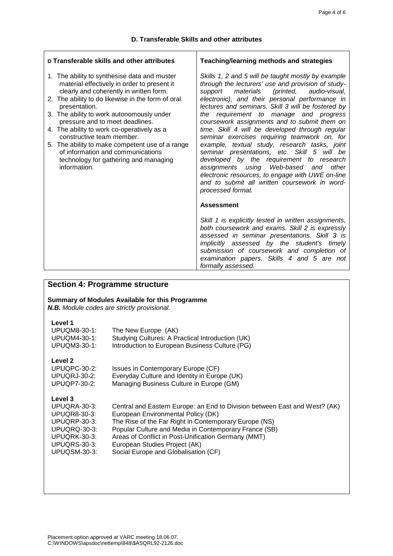| D Transferable skills and other attributes                                                                                                                                                                                                                                                                                                                                                                                                                                                                               | Teaching/learning methods and strategies                                                                                                                                                                                                                                                                                                                                                                                                                                                                                                                                                                                                                                                                                                                   |  |
|--------------------------------------------------------------------------------------------------------------------------------------------------------------------------------------------------------------------------------------------------------------------------------------------------------------------------------------------------------------------------------------------------------------------------------------------------------------------------------------------------------------------------|------------------------------------------------------------------------------------------------------------------------------------------------------------------------------------------------------------------------------------------------------------------------------------------------------------------------------------------------------------------------------------------------------------------------------------------------------------------------------------------------------------------------------------------------------------------------------------------------------------------------------------------------------------------------------------------------------------------------------------------------------------|--|
| 1. The ability to synthesise data and muster<br>material effectively in order to present it<br>clearly and coherently in written form.<br>2. The ability to do likewise in the form of oral<br>presentation.<br>3. The ability to work autonomously under<br>pressure and to meet deadlines.<br>4. The ability to work co-operatively as a<br>constructive team member.<br>5. The ability to make competent use of a range<br>of information and communications<br>technology for gathering and managing<br>information. | Skills 1, 2 and 5 will be taught mostly by example<br>through the lecturers' use and provision of study-<br>materials (printed, audio-visual,<br>support<br>electronic), and their personal performance in<br>lectures and seminars. Skill 3 will be fostered by<br>the requirement to manage and progress<br>coursework assignments and to submit them on<br>time. Skill 4 will be developed through regular<br>seminar exercises requiring teamwork on, for<br>example, textual study, research tasks, joint<br>seminar presentations, etc. Skill 5 will be<br>developed by the requirement to research<br>assignments using Web-based and<br>other<br>electronic resources, to engage with UWE on-line<br>and to submit all written coursework in word- |  |
|                                                                                                                                                                                                                                                                                                                                                                                                                                                                                                                          | processed format.<br><b>Assessment</b><br>Skill 1 is explicitly tested in written assignments,<br>both coursework and exams. Skill 2 is expressly<br>assessed in seminar presentations. Skill 3 is<br>implicitly assessed by the student's timely<br>submission of coursework and completion of<br>examination papers. Skills 4 and 5 are not<br>formally assessed.                                                                                                                                                                                                                                                                                                                                                                                        |  |

| <b>Section 4: Programme structure</b>                                                                                          |                                                                                                                                                                                                                                                                                                                                                                    |  |
|--------------------------------------------------------------------------------------------------------------------------------|--------------------------------------------------------------------------------------------------------------------------------------------------------------------------------------------------------------------------------------------------------------------------------------------------------------------------------------------------------------------|--|
| Summary of Modules Available for this Programme<br>N.B. Module codes are strictly provisional.                                 |                                                                                                                                                                                                                                                                                                                                                                    |  |
| Level 1<br>UPUQM8-30-1:<br>UPUQM4-30-1:<br>UPUQM3-30-1:                                                                        | The New Europe (AK)<br>Studying Cultures: A Practical Introduction (UK)<br>Introduction to European Business Culture (PG)                                                                                                                                                                                                                                          |  |
| Level <sub>2</sub><br>UPUQPC-30-2:<br><b>UPUQRJ-30-2:</b><br><b>UPUQP7-30-2:</b>                                               | Issues in Contemporary Europe (CF)<br>Everyday Culture and Identity in Europe (UK)<br>Managing Business Culture in Europe (GM)                                                                                                                                                                                                                                     |  |
| Level 3<br>UPUQRA-30-3:<br><b>UPUQR8-30-3:</b><br>UPUQRP-30-3:<br>UPUQRQ-30-3:<br>UPUQRK-30-3:<br>UPUQRS-30-3:<br>UPUQSM-30-3: | Central and Eastern Europe: an End to Division between East and West? (AK)<br>European Environmental Policy (DK)<br>The Rise of the Far Right in Contemporary Europe (NS)<br>Popular Culture and Media in Contemporary France (SB)<br>Areas of Conflict in Post-Unification Germany (MMT)<br>European Studies Project (AK)<br>Social Europe and Globalisation (CF) |  |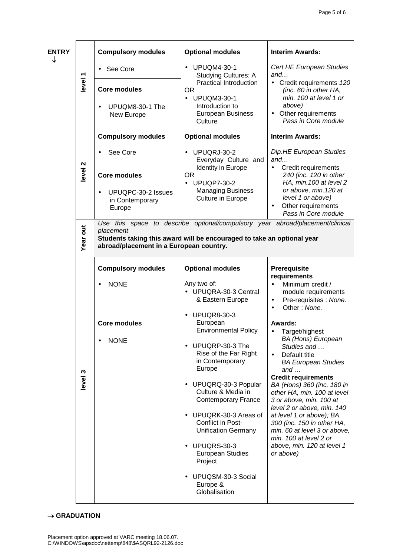| <b>ENTRY</b> |          | <b>Compulsory modules</b>                                                                                                                                                                                       | <b>Optional modules</b>                                                                                                                                                                                                                                                                                                                                                                                                                                                            | <b>Interim Awards:</b>                                                                                                                                                                                                                                                                                                                                                                                                                                                                           |
|--------------|----------|-----------------------------------------------------------------------------------------------------------------------------------------------------------------------------------------------------------------|------------------------------------------------------------------------------------------------------------------------------------------------------------------------------------------------------------------------------------------------------------------------------------------------------------------------------------------------------------------------------------------------------------------------------------------------------------------------------------|--------------------------------------------------------------------------------------------------------------------------------------------------------------------------------------------------------------------------------------------------------------------------------------------------------------------------------------------------------------------------------------------------------------------------------------------------------------------------------------------------|
| ↓            |          | See Core<br>$\bullet$                                                                                                                                                                                           | <b>UPUQM4-30-1</b><br>$\bullet$<br><b>Studying Cultures: A</b>                                                                                                                                                                                                                                                                                                                                                                                                                     | Cert.HE European Studies<br>and<br>• Credit requirements 120<br>(inc. 60 in other HA,<br>min. 100 at level 1 or<br>above)<br>• Other requirements<br>Pass in Core module                                                                                                                                                                                                                                                                                                                         |
|              | level 1  | <b>Core modules</b><br>UPUQM8-30-1 The<br>$\bullet$<br>New Europe                                                                                                                                               | <b>Practical Introduction</b><br><b>OR</b><br><b>UPUQM3-30-1</b><br>$\bullet$<br>Introduction to<br><b>European Business</b><br>Culture                                                                                                                                                                                                                                                                                                                                            |                                                                                                                                                                                                                                                                                                                                                                                                                                                                                                  |
|              |          | <b>Compulsory modules</b>                                                                                                                                                                                       | <b>Optional modules</b>                                                                                                                                                                                                                                                                                                                                                                                                                                                            | <b>Interim Awards:</b>                                                                                                                                                                                                                                                                                                                                                                                                                                                                           |
|              |          | See Core<br>$\bullet$                                                                                                                                                                                           | UPUQRJ-30-2<br>$\bullet$<br>Everyday Culture and<br><b>Identity in Europe</b><br><b>OR</b><br><b>UPUQP7-30-2</b><br>$\bullet$<br><b>Managing Business</b><br><b>Culture in Europe</b>                                                                                                                                                                                                                                                                                              | Dip.HE European Studies<br>and<br>Credit requirements<br>$\bullet$<br>240 (inc. 120 in other<br>HA, min. 100 at level 2<br>or above, min. 120 at<br>level 1 or above)<br>Other requirements<br>$\bullet$<br>Pass in Core module                                                                                                                                                                                                                                                                  |
|              | level 2  | <b>Core modules</b><br>UPUQPC-30-2 Issues<br>$\bullet$<br>in Contemporary<br>Europe                                                                                                                             |                                                                                                                                                                                                                                                                                                                                                                                                                                                                                    |                                                                                                                                                                                                                                                                                                                                                                                                                                                                                                  |
|              | Year out | Use this space to describe optional/compulsory year abroad/placement/clinical<br>placement<br>Students taking this award will be encouraged to take an optional year<br>abroad/placement in a European country. |                                                                                                                                                                                                                                                                                                                                                                                                                                                                                    |                                                                                                                                                                                                                                                                                                                                                                                                                                                                                                  |
|              |          | <b>Compulsory modules</b><br><b>NONE</b>                                                                                                                                                                        | <b>Optional modules</b><br>Any two of:<br>UPUQRA-30-3 Central<br>& Eastern Europe                                                                                                                                                                                                                                                                                                                                                                                                  | Prerequisite<br>requirements<br>Minimum credit /<br>module requirements<br>Pre-requisites : None.<br>$\bullet$                                                                                                                                                                                                                                                                                                                                                                                   |
|              | level 3  | <b>Core modules</b><br><b>NONE</b><br>$\bullet$                                                                                                                                                                 | <b>UPUQR8-30-3</b><br>$\bullet$<br>European<br><b>Environmental Policy</b><br>UPUQRP-30-3 The<br>$\bullet$<br>Rise of the Far Right<br>in Contemporary<br>Europe<br>UPUQRQ-30-3 Popular<br>$\bullet$<br>Culture & Media in<br><b>Contemporary France</b><br>UPUQRK-30-3 Areas of<br>$\bullet$<br>Conflict in Post-<br><b>Unification Germany</b><br>UPUQRS-30-3<br>$\bullet$<br><b>European Studies</b><br>Project<br>UPUQSM-30-3 Social<br>$\bullet$<br>Europe &<br>Globalisation | Other: None.<br>Awards:<br>Target/highest<br>$\bullet$<br><b>BA</b> (Hons) European<br>Studies and<br>Default title<br>$\bullet$<br><b>BA European Studies</b><br>and $\dots$<br><b>Credit requirements</b><br>BA (Hons) 360 (inc. 180 in<br>other HA, min. 100 at level<br>3 or above, min. 100 at<br>level 2 or above, min. 140<br>at level 1 or above); BA<br>300 (inc. 150 in other HA,<br>min. 60 at level 3 or above,<br>min. 100 at level 2 or<br>above, min. 120 at level 1<br>or above) |

#### $\rightarrow$  GRADUATION